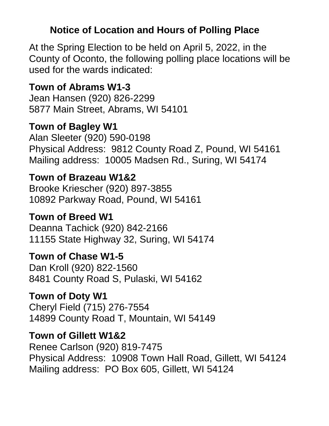#### **Notice of Location and Hours of Polling Place**

At the Spring Election to be held on April 5, 2022, in the County of Oconto, the following polling place locations will be used for the wards indicated:

#### **Town of Abrams W1-3**

Jean Hansen (920) 826-2299 5877 Main Street, Abrams, WI 54101

#### **Town of Bagley W1**

Alan Sleeter (920) 590-0198 Physical Address: 9812 County Road Z, Pound, WI 54161 Mailing address: 10005 Madsen Rd., Suring, WI 54174

#### **Town of Brazeau W1&2**

Brooke Kriescher (920) 897-3855 10892 Parkway Road, Pound, WI 54161

#### **Town of Breed W1**

Deanna Tachick (920) 842-2166 11155 State Highway 32, Suring, WI 54174

#### **Town of Chase W1-5**

Dan Kroll (920) 822-1560 8481 County Road S, Pulaski, WI 54162

#### **Town of Doty W1**

Cheryl Field (715) 276-7554 14899 County Road T, Mountain, WI 54149

#### **Town of Gillett W1&2**

Renee Carlson (920) 819-7475 Physical Address: 10908 Town Hall Road, Gillett, WI 54124 Mailing address: PO Box 605, Gillett, WI 54124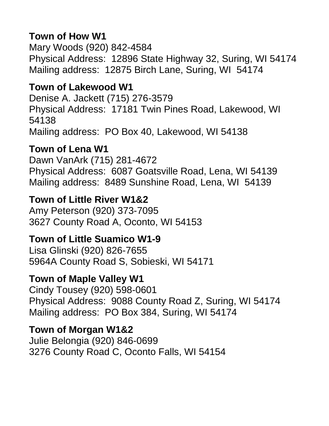#### **Town of How W1**

Mary Woods (920) 842-4584 Physical Address: 12896 State Highway 32, Suring, WI 54174 Mailing address: 12875 Birch Lane, Suring, WI 54174

#### **Town of Lakewood W1**

Denise A. Jackett (715) 276-3579 Physical Address: 17181 Twin Pines Road, Lakewood, WI 54138 Mailing address: PO Box 40, Lakewood, WI 54138

#### **Town of Lena W1**

Dawn VanArk (715) 281-4672 Physical Address: 6087 Goatsville Road, Lena, WI 54139 Mailing address: 8489 Sunshine Road, Lena, WI 54139

### **Town of Little River W1&2**

Amy Peterson (920) 373-7095 3627 County Road A, Oconto, WI 54153

#### **Town of Little Suamico W1-9**

Lisa Glinski (920) 826-7655 5964A County Road S, Sobieski, WI 54171

# **Town of Maple Valley W1**

Cindy Tousey (920) 598-0601 Physical Address: 9088 County Road Z, Suring, WI 54174 Mailing address: PO Box 384, Suring, WI 54174

#### **Town of Morgan W1&2**

Julie Belongia (920) 846-0699 3276 County Road C, Oconto Falls, WI 54154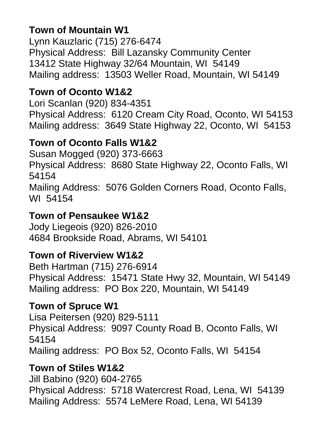# **Town of Mountain W1**

Lynn Kauzlaric (715) 276-6474 Physical Address: Bill Lazansky Community Center 13412 State Highway 32/64 Mountain, WI 54149 Mailing address: 13503 Weller Road, Mountain, WI 54149

# **Town of Oconto W1&2**

Lori Scanlan (920) 834-4351 Physical Address: 6120 Cream City Road, Oconto, WI 54153 Mailing address: 3649 State Highway 22, Oconto, WI 54153

### **Town of Oconto Falls W1&2**

Susan Mogged (920) 373-6663 Physical Address: 8680 State Highway 22, Oconto Falls, WI 54154 Mailing Address: 5076 Golden Corners Road, Oconto Falls, WI 54154

#### **Town of Pensaukee W1&2**

Jody Liegeois (920) 826-2010 4684 Brookside Road, Abrams, WI 54101

# **Town of Riverview W1&2**

Beth Hartman (715) 276-6914 Physical Address: 15471 State Hwy 32, Mountain, WI 54149 Mailing address:PO Box 220, Mountain, WI 54149

# **Town of Spruce W1**

Lisa Peitersen (920) 829-5111 Physical Address: 9097 County Road B, Oconto Falls, WI 54154 Mailing address:PO Box 52, Oconto Falls, WI 54154

# **Town of Stiles W1&2**

Jill Babino (920) 604-2765 Physical Address: 5718 Watercrest Road, Lena, WI 54139 Mailing Address: 5574 LeMere Road, Lena, WI 54139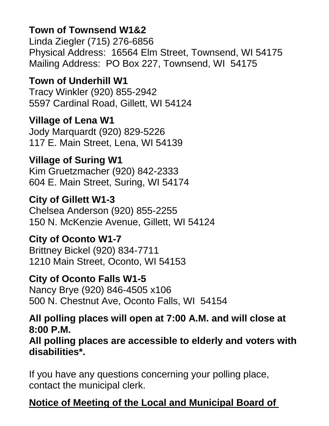### **Town of Townsend W1&2**

Linda Ziegler (715) 276-6856 Physical Address: 16564 Elm Street, Townsend, WI 54175 Mailing Address: PO Box 227, Townsend, WI 54175

## **Town of Underhill W1**

Tracy Winkler (920) 855-2942 5597 Cardinal Road, Gillett, WI 54124

**Village of Lena W1** Jody Marquardt (920) 829-5226 117 E. Main Street, Lena, WI 54139

### **Village of Suring W1**

Kim Gruetzmacher (920) 842-2333 604 E. Main Street, Suring, WI 54174

### **City of Gillett W1-3**

Chelsea Anderson (920) 855-2255 150 N. McKenzie Avenue, Gillett, WI 54124

#### **City of Oconto W1-7**

Brittney Bickel (920) 834-7711 1210 Main Street, Oconto, WI 54153

#### **City of Oconto Falls W1-5**

Nancy Brye (920) 846-4505 x106 500 N. Chestnut Ave, Oconto Falls, WI 54154

#### **All polling places will open at 7:00 A.M. and will close at 8:00 P.M.**

**All polling places are accessible to elderly and voters with disabilities\*.**

If you have any questions concerning your polling place, contact the municipal clerk.

# **Notice of Meeting of the Local and Municipal Board of**